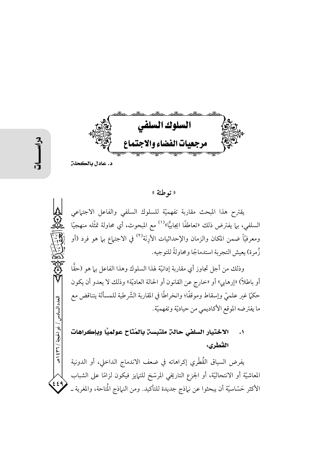السلوك السلفى مرجعيات الفضاء والاجتماع د. عادل بالكحلن

العدد السادس / ذو الحجة / ٣٦٦ هـ

 $\left( \frac{1}{2} \right)$ 

# « توطئة »

يقترح هذا المبحث مقاربة تفهميّة للسلوك السلفى والفاعل الاجتماعى السلفي، بـما يفترض ذلك «تعاطفًا ايجابيًّا»<sup>(١)</sup> مع المبحوث، أي محاولة تمثُّله منهجيًّا ومعرفيًّا ضمن المكان والزمان والإحداثيات الأرِنَة<sup>(٢)</sup> في الاجت<sub>ع</sub>اع بـها هو فرد (أو زُ مرة) يعيش التجرية استدماجًا ومحاولةً للتوجيه.

وذلك من أجل تجاوز أي مقاربة إدانيّة لهذا السلوك وهذا الفاعل بيا هو (حقًّا أو باطلاً) «إرهابي» أو «خارج عن القانون أو الحالة العاديّة» وذلك لا يعدو أن يكون حكمًا غير علميٍّ وإسقاط وموقفًا؛ وانخراطًا في المقاربة الشَّرطية للمسألة يتناقض مع ما يفترضه الموقع الأكاديمي من حياديّة وتفهميّة.

## الاختيار السلفي حالن ملتبسن بالمُتَاح عولميًّا وبإكراهات  $\cdot$ القُطْري:

يفرض السياق القُطْري إكراهاته في ضعف الاندماج الداخلي، أو الدونية المعاشيَّة أو الانتحاليَّة، أو الجزع التاريخي المرسَّخ للتبايز فيكون لزامًا على الشباب الأكثر حَسّاسيّة أن يبحثوا عن نياذج جديدة للتأكيد. ومن النياذج الْمتاحة، والمغرية ــ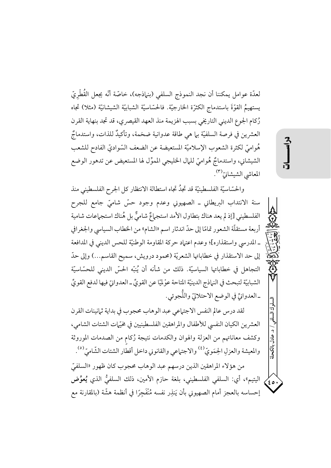لعدّة عوامل يمكننا أن نجد النموذج السلفي (بنـماذجه)، خاصّة أنّه يجعل القُطْريّ يستهيمُ القوَّةَ باستدماج الكثرّة الخارجيّة. فالحسّاسيّة الشبابيّة الشيشانيّة (مثلا) تجاه رُكام الجوع الديني التاريخي بسبب الهزيمة منذ العهد القيصري، قد تجد بنهاية القرن العشرين في فرصة السلفيّة بها هي طاقة عدوانية ضخمة، وتأكيدٌ للذات، واستدماجٌ هُواميّ لكثرة الشعوب الإسلاميّة المستعيضة عن الضعف السّواديّ الفادح للشعب الشيشاني، واستدماجٌ هُواميّ للمال الخليجي المموِّل لها المستعيض عن تدهور الوضع المعاشي الشيشانيّ".

والحسّاسيّة الفلسطينيّة قد تجدُ تجاه استطالة الانتظار كل الجرح الفلسطيني منذ سنة الانتداب البريطاني ـ الصهيوني وعدم وجود حسّ شاميّ جامع للجرح الفلسطيني [إذ لم يعد هناك بتطاول الأمد استجماعٌ شاميٌّ بل هُناك استجماعات شامية أربعة مستقلَّة الشعور تمامًا إلى حدِّ اندثار اسم «الشام» من الخطاب السياسي والجغرافي ـ المدرسي واستقذاره]؛ وعدم اعتهاد حركة المقاومة الوطنيّة للحس الديني في المدافعة إلى حد الاستقذار في خطاباتها الشعريّة (محمود درويش، سميح القاسم...) وإلى حدّ التجاهل في خطاباتها السياسيّة. ذلك من شأنه أن يُنبّه الحسّ الديني للحسّاسيّة الشبابيّة لتبحث في النهاذج الدينيّة المتاحة عوْليّا عن القويِّ ـ العدوانيّ فيها لدفع القويِّ ـ العدوانيِّ في الوضع الاحتلاليّ واللُّجوئي.

لقد درس عالم النفس الاجتماعي عبد الوهاب محجوب في بداية ثمانينات القرن العشرين الكيان النفسي للأطفال والمراهقين الفلسطينيين في مخيّات الشتات الشامي، وكشف معاناتهم من العزلة والهوان والكدمات نتيجة رُكام من الصدمات الموروثة والمعيشة والعزلِ الجِمَويّ <sup>(٤)</sup> والاجتماعي والقانوني داخل أقطار الشتات الشَّاميّ <sup>(٥)</sup>.

من هؤلاء المراهقين الذين درسهم عبد الوهاب محجوب كان ظهور «السلفيّ اليتيم»، أي: السلفي الفلسطيني، بلغة حازم الأمين، ذلك السلفيُّ الذي يُعوِّض  $\mathcal{L}_{\mathfrak{so}}$ إحساسه بالعجز أمام الصهيوني بأن يَنذِر نفسه مُنْفَجِرًا في أنظمة هشَّة (بالمقارنة مع

د. عادل بالكحلا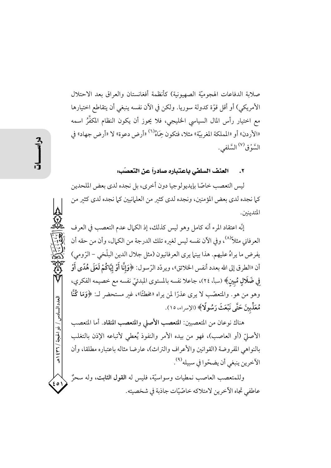صلابة الدفاعات الهجوميَّة الصهيونية) كأنظمة أفغانستان والعراق بعد الاحتلال الأمريكي) أو أقل قوَّة كدولة سوريا. ولكن في الآن نفسه ينبغي أن يتقاطع اختيارها مع اختيار رأس المال السياسي الخليجي، فلا يحوز أن يكون النظام المكفَّرُ اسمه «الأردن» أو «المملكة المغربيّة» مثلا، فتكون حِمَاهُ<sup>(٦)</sup> «أرض دعوة» لا «أرض جهاد» في السَّوْق<sup>(٧)</sup> السَّلفي .

# العنف السلفي باعتباره صادراً عن التعصّب:

ليس التعصب خاصًّا بإيديولوجيا دون أخرى، بل نجده لدى بعض الملحدين كما نجده لدى بعض المؤمنين، ونجده لدى كثير من العلمانيين كما نجده لدى كثير من المتدينين.

إنَّه اعتقاد المرء أنه كامل وهو ليس كذلك، إذ الكمال عدم التعصب في العرف العرفاني مثلاً<sup>(٨)</sup>، وفي الآن نفسه ليس لغيره تلك الدرجة من الكمال، وأن من حقه أن يفرض ما يراهُ عليهم. هذا بينما يرى العرفانيون (مثل جلال الدين البلْخي - الرّومي) أن «الطرق إلى الله بعدد أنفس الخلائق»، ويردّد الرّسول: ﴿وَإِنَّا أَوْ إِيَّاكُمْ لَعَلَى هُدًى أَوْ فِي ضَلَالٍ مُبِينٍ﴾ (سبأ، ٢٤)، جاعلا نفسه بالمستوى المبدئيّ نفسه مع خصيمه الفكري، وهو من هو . والمتعصَّب لا يرى عذرًا لمن يراه «مخطئًا»، غير مستحضر لـ: ﴿وَمَا كُنَّا مُعَذِّبينَ حَتَّى نَبْعَثَ رَسُولًا﴾ (الإسراء، ١٥).

هناك نوعان من المتعصبين: المتعصب الأصلي والمتعصب المنقاد. أما المتعصب الأصليِّ (أو العاصب)، فهو من بيده الأمر والنفوذ يُعطي لأتباعه الإذن بالتغلب بالنواهي المفروضة (القوانين والأعراف والتراث)، عارضا مثاله باعتباره مطلقا، وأن الآخرين ينبغي أن يضحّوا في سبيله<sup>(٩)</sup>.

وللمتعصب العاصب نمطيات وسواسيّة، فليس له القول الثابت، وله سحزٌ عاطفي تجاه الآخرين لامتلاكه خاصّيّات جاذبة في شخصيته.

العدد السادس / ذو الحجة / ٣٦٦ / هـ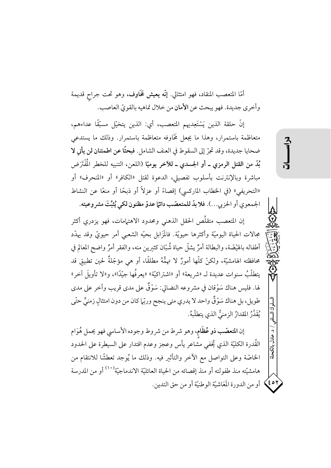أمّا المتعصب المنقاد، فهو امتثالي. إنّه **يعيش تخَاوف**، وهو تحت جراح قديمة وأخرى جديدة. فهو يبحث عن الأمان من خلال تماهيه بالقويّ العاصب.

إِنَّ حلقة الذين يَسْتَعِدِيهِم المتعصب، أي: الذين يتخيَّل مسبِّقًا عداءهم، متعاظمة باستمرار، وهذا ما يجعل تخاوفه متعاظمة باستمرار. وذلك ما يستدعى ضحايا جديدة، وقد تجرّ إلى السقوط في العنف الشامل. فبحثًا عن اطمئنان لن يأتي لا بُدّ من القتل الرمزي ــ أو الجسدي ــ للآخر يوميّا (اللعن، التنبيه للخطر الْمُفْتَرَض مباشرة وبالإنترنت بأسلوب تفصيلي، الدعوة لقتل «الكافر» أو «المنحرف» أو «التحريفي» (في الخطاب الماركسي) إقصاءً أو عزلاً أو ذبحًا أو منعًا عن النشاط الجمعوي أو الحزبي...). فلا بدّ للمتعصّب دائمًا عدوّ مظنون لكي يُثبِّتَ مشروعيته.

إن المتعصب متقلِّص الحقل الذهني ومحدود الاهتمامات، فهو يزدرى أكثر مجالات الحياة اليوميّة وأكثرها حيويّة. فالمَزَابل بحيّه الشعبي أمر حيويّ وقد يهدّد أطفاله بالهَيْضَة، والبطالة أمرٌ يشلُّ حياة شُبَّان كثيرين منه، والفقر أمرٌ واضح المعالم في محافظته الهامشيَّة، ولكنْ كلَّها أمورٌ لا تهمُّهُ مطلقًا، أو هي مؤجّلةٌ لحين تطبيق قد يتطلَّبُ سنوات عديدة لـ «شريعة» أو «اشتراكيّة» «يعرفُها جيّدًا»، و«لا تأويلَ آخر» لها. فليس هناك سَوْقان في مشروعه النضالي: سَوْقٌ على مدى قريب وآخر على مدى طويل، بل هناك سَوْقٌ واحد لا يدري متى ينجح وربِّها كان من دون امتثال زمنيٍّ حتَّى يُقَدَّرُ المقدارُ الزمنيُّ الذي يتطلَّبهُ.

إن المتعصّب ذو عُظَام، وهو شرط من شروط وجوده الأساسي فهو يحمل هُوَام القُدرة الكليّة الذي يُخفى مشاعر يأس وعجز وعدم اقتدار على السيطرة على الحدود الخاصَّة وعلى التواصل مع الآخر والتأثير فيه. وذلك ما يُوجد تعطشًا للانتقام من هامشيَّته منذ طفولته أو منذ إقصائه من الحياة العائليَّة الاندماجيَّة'''' أو من المدرسة 61\$) أو من الدورة المَعَاشيّة الوطنيّة أو من حق التدين.

عادل مالكحلة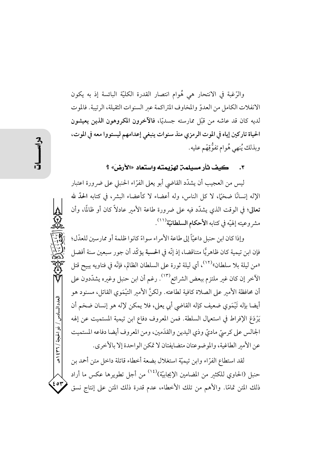والرُّغبة في الانتحار هي هُوام انتصار القدرة الكليّة البائسة إذ به يكون الانفلات الكامل من العدوّ والمخاوف المتراكمة عبر السنوات الثقيلة، الرتيبة. فالموت لديه كان قد عاشه من قَبْل ممارسته جسديًّا، فالآخرون المكروهون الذين يعيشون الحياة تاركين إياه في الموت الرمزي منذ سنوات ينبغي إعدامهم ليستووا معه في الموت، وبذلك يُنهي هُوام تفوُّقِهْم عليه.

٣. كيف ثأر مسيلمن لهزيمته واستعاد «الأرض» ؟

ليس من العجيب أن يشدّد القاضي أبو يعلى الفرّاء الحنبلي على ضرورة اعتبار الإله إنسانًا ضخَّا، لا كلِّ الناس، وله أعضاء لا كأعضاء البشر، في كتابه الحدَّ لله تعالى؛ في الوقت الذي يشدَّد فيه على ضرورة طاعة الأمبر عادلاً كان أو ظالمًا، وأن مشروعيته إلهيّه في كتابه الأحكام السلطانيّة<sup>(١١)</sup>.

وإذا كان ابن حنبل داعيّاً إلى طاعة الأمراء سواءً كانوا ظلمة أو ممارسين للعدْل؛ فإن ابن تيمية كان ظاهريًّا متناقضا، إذ إنَّه في الحسبة يؤكِّد أن جو ر سبعين سنة أفضل «من ليلة بلا سلطان»<sup>(١٢)</sup>، أي ليلة ثورة على السلطان الظالم، فإنّه في فتاويه يبيح قتل الآخر إن كان غير ملتزم ببعض الشرائع<sup>(١٣)</sup>. رغم أن ابن حنبل وغيره يشدّدون على أن محافظة الأمير على الصلاة كافية لطاعته. ولكنَّ الأمير التيْمَوي القاتل، مسنود هو أيضا بإله تَيْمَوي ضعيف كإله القاضي أبي يعلي، فلا يمكن لإله هو إنسان ضخم أن يَرْدَعَ الإفراط في استعمال السلطة. فمن المعروف دفاع ابن تيمية المستميت عن إلهه الجالس على كرسيِّ ماديٍّ وذي اليدين والقدَمين، ومن المعروف أيضا دفاعه المستميت عن الأمير الطاغية، والموضوعتان متضايفتان لا تمكن الواحدة إلا بالأخرى.

لقد استطاع الفرَّاء وابن تيميَّة استغلال بضعة أخطاء قاتلة داخل متن أحمد بن حنبل (الحاوي للكثير من المضامين الإيجابيّة)<sup>(١٤)</sup> من أجل تطويرها عكس ما أراد ذلك المتن تمامًا. والأهم من تلك الأخطاء، عدم قدرة ذلك المتن على إنتاج نسق

العدد السادس / ذو الحجة / ٣٦٦ هـ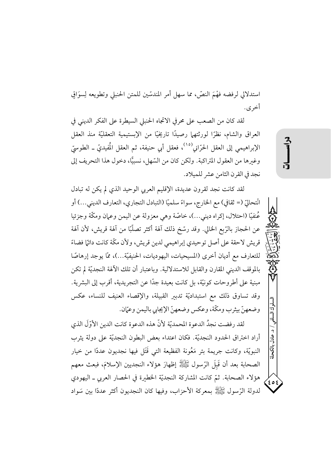استدلالي لرفضه فهْمَ النصِّ، مما سهل أمرِ المندسِّين للمتن الحنبلي وتطويعه لِسوَاقِ أخرى.

لقد كان من الصعب على محرفي الاتجاه الحنبلي السيطرة على الفكر الديني في العراق والشام، نظرًا لورثتهما رصيدًا تاريخيًّا من الإبستيمية التعقليَّة منذ العقل الإبراهيمي إلى العقل الحرّاني<sup>(١٥)</sup>، فعقل أبي حنيفة، ثم العقل المُفيديّ ـ الطوسيّ وغيرها من العقول المتراكبة. ولكن كان من السّهل، نسبيًّا، دخول هذا التحريف إلى نجد في القرن الثامن عشر للميلاد.

لقد كانت نجد لقرون عديدة، الإقليم العربي الوحيد الذي لم يكن له تبادل انْتحاليّ (= ثقافي) مع الخارج، سواءً سلميّا (التبادل التجاري، التعارف الديني...) أو عُنفيًّا (احتلال، إكراه ديني...)، خاصَّة وهي معزولة عن اليمن وعمان ومكَّة وجزئيا عن الحجاز بالرَّبِع الحالي. وقد رسَّخ ذلك آلهة أكثر تصلُّبًا من آلهة قريش، لأن آلهة قريش لاحقة على أصل توحيدي إبراهيمي لدين قريش، ولأن مكَّة كانت دائمًا فضاءً للتعارف مع أديان أخرى (المسيحيات، اليهوديات، الحنيفيّة...)، ممّا يوجد إرهاصًا بالموقف الديني المقارن والقابل للاستدلالية. وباعتبار أن تلك الآلهة النجديّة لم تكن مبنية على أطروحات كونيَّة، بل كانت بعيدة جدًّا عن التجريدية، أقرب إلى البشرية. وقد تساوق ذلك مع استبداديّة تدبير القبيلة، والإقصاء العنيف للنساء، عكس وضعهنّ بيثرب ومكّة، وعكس وضعهنّ الإيجابي باليمن وعيّان.

لقد رفضت نجدُ الدعوة المحمديّة لأنّ هذه الدعوة كانت الدين الأوّلَ الذي أراد اختراق الحدود النجديّة. فكان اعتداء بعض البطون النجديّة على دولة يثرب النبويّة، وكانت جريمة بئر مَعُونة الفظيعة التي قَتَل فيها نجديون عددًا من خيار الصحابة بعد أن قَبلَ الرِّسولِ ﷺ إظهارَ هؤلاء النجديين الإسلامَ، فبعث معهم هؤلاء الصحابة. ثمّ كانت المشاركة النجديّة الخطيرة في الحصار العربي ـ اليهودي لدولة الرِّسول ﷺ بمعركة الأحزاب، وفيها كان النجديون أكثر عددًا بين سَواد すいに

د. عادل مالكحل

۶ ه ٤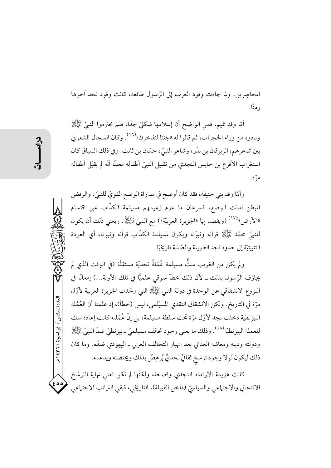المحاصِرِين. ولما جاءت وفود العرب إلى الرِّسول طائعة، كانت وفود نجد آخرها ; منًا.

أمَّا وفد تميم، فمنِ الواضح أن إسلامها شكليّ جدًّا، فلم يحترموا النبيّ ﷺ ونادوه من وراء الحجرات، ثم قالوا له «جئنا لنفاخرك»<sup>(١٦)</sup>. وكان السجال الشعري بين شاعرهم، الزبرقان بن بدْر، وشاعر النبيّ، حسّان بن ثابت. وفي ذلك السياق كان استغراب الأقرع بن حابس النجدي من تقبيل النبيّ أطفاله معلنًا أنّه لم يقبّل أطفاله مرّة.

وأمّا وفد بني حنيفة، فقد كان أوضح في مداراة الوضع القويّ للنبيّ، والرفض المبطن لذلك الوضع، فسرعان ما عزم زعيمهم مسيلمة الكذَّاب على اقتسام «الأرض» <sup>(١٧)</sup> (ويقصد بها «الجزيرة العربيّة») مع النبيّ ﷺ. ويعني ذلك أن يكون للنَّبِيِّ مُحمَّدٍ ﷺ قُرآنه ونبوَّته ويكون لمسيلمة الكذَّابِ قُرآنه ونبوته، أي العودة التثبيتيَّة إلى حدود نجد الطويلة والصّلبة تاريخيًّا.

ولم يكن من الغريب سكٌّ مسيلمة عُمْلةً نجديّة مستقلّة (في الوقت الذي لم يجازف الرّسول بذلك ــ لأن ذلك خطأ سوقى علميًّا في تلك الآونة...) إمعانًا في النزوع الانشقاقي عن الوحدة في دولة النبي ﷺ التي وحّدت الجزيرة العربية لأوّل مرَّة في التاريخ. ولكن الانشقاق النقدي المسيْلمي، ليس (خطأ)، إذ علمنا أن العُمْلة البيزنطية دخلت نجد لأوّل مرّة تحت سلطة مسيلمة، بل إنّ عُمْلته كانت إعادة سك للعملة البيزنطيّة'``. وذلك ما يعني وجود تحالف مسيلميّ \_ بيزنطيّ ضدّ النبيّ ﷺ ودولته ودينه ومعاشه العدالي بعد انهيار التحالف العربي ـ اليهودي ضدّه. وما كان ذلك ليكون لولا وجود ترسخ ثقافيٍّ نجديٍّ يُرهِصُ بذلك ويحتضنه ويدعمه.

كانت هزيمة الارتداد النجدي واضحة، ولكنَّها لم تكن تعني نهاية الترسّخ الانتحالي والاجتماعي والسياسيّ (داخل القبيلة)، التاريخي، فبقي التراتب الاجتماعي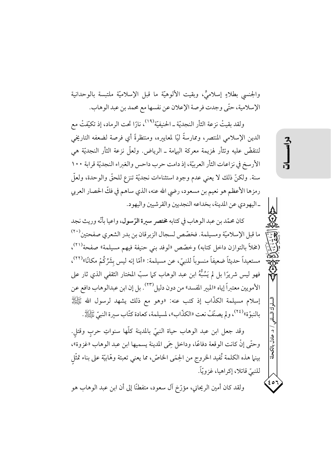والجنسي بطلاءٍ إسلاميٍّ، وبقيت الألوهيَّة ما قبل الإسلاميَّة ملتبسة بالوحدانية الإسلامية، حتَّى وجدت فرصة الإعلان عن نفسها مع محمد بن عبد الوهاب.

ولقد بقيتْ نزعة الثأر النجديّة ـ الحنيفيّة<sup>(١٩)</sup>، نارًا تحت الرماد، إذ تكيّفتْ مع الدين الإسلامي المنتصر، وممارسةً ليًا لمعايبره، ومنتظرةً أي فرصة لضعفه التاريخي لتنقضُّ عليه وتثأر لهزيمة معركة اليهامة ـ الرياض. ولعلَّ نزعة الثأر النجديَّة هي الأرسخ في نزاعات الثأر العربيّة، إذ دامت حرب داحس والغبراء النجديّة قرابة ١٠٠ سنة. ولكنّ ذلك لا يعني عدم وجود استثناءات نجديّة تنزع للحقّ والوحدة، ولعلّ رمزها الأعظم هو نعيم بن مسعود، رضي الله عنه، الذي ساهم في فكِّ الحصار العربي \_اليهو دي عن المدينة، بخداعه النجديين والقر شيين واليهو د.

كان محمّد بن عبد الوهاب في كتابه مختصر سبرة الرّسول، واعيا بأنّه وريث نجد ما قبل الإسلاميَّة ومسيلمة. فخصَّص لسجال الزبر قان بن بدر الشعري صفحتين``` (مخلاً بالتوازن داخل كتابه) وخصّص «لوفد بني حنيفة فيهم مسيلمة» صفحة<sup>(٢١)</sup>، مستعيداً حديثاً ضعيفاً منسوباً للنبيّ، عن مسيلمة: «أمّا إنه ليس بشَرِّكُمْ مكانًا»<sup>(٢٢)</sup>، فهو ليس شريرًا بل لم يَسُبُّهُ ابن عبد الوهاب كما سبِّ المختار الثقفي الذي ثار على الأمويين معتبراً إياه «المبير المفسد» من دون دليل<sup>(٢٣)</sup>. بل إن ابن عبدالوهاب دافع عن إسلام مسيلمة الكذَّاب إذ كتب عنه: «وهو مع ذلك يشهد لرسول الله ﷺ بِالنبوّةِ» (٢٤)، ولم يصنّفْ نعت «الكذّاب»، لمسيلمة، كعادة كتّاب سيرة النبيّ عَيَّةٍ اللهُ .

وقد جعل ابن عبد الوهاب حياة النبيّ بالمدينة كلَّها سنواتِ حرب وقتل. وحتَّى إنْ كانت الوقعة دفاعًا، وداخل حِمَى المدينة يسميها ابن عبد الوهاب «غزوة»، بينها هذه الكلمة تُفيد الخروج من الحِمَى الخاصّ، مما يعني تعبئة وهّابيّة على بناء تمثّل للنبيِّ قاتلا، إكراهيا، غزويّاً.

ولقد كان أمين الريحاني، مؤرَّخ آل سعود، متفطنًا إلى أن ابن عبد الوهاب هو

عادل بالک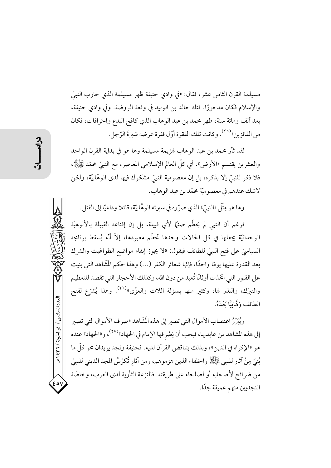مسيلمة القرن الثامن عشر ، فقال: «في وادي حنيفة ظهر مسيلمة الذي حارب النبيِّ والإسلام فكان مدحورًا. قتله خالد بن الوليد في وقعة الروضة. وفي وادي حنيفة، بعد ألف ومائة سنة، ظهر محمد بن عبد الوهاب الذي كافح البدع والخرافات، فكان من الفائزين»<sup>(٢٥)</sup>. وكانت تلك الفقرة أوّل فقرة عرضه سَيرةَ الرّجل.

لقد ثأر محمد بن عبد الوهاب لهزيمة مسيلمة وها هو في بداية القرن الواحد والعشرين يقتسم «الأرض»، أي كلُّ العالم الإسلامي المعاصر، مع النبيِّ محمَّد ﷺ، فلا ذكر للنبيِّ إلا بذكره، بل إن معصومية النبيِّ مشكوك فيها لدى الوهّابيّة، ولكن لاشك عندهم في معصوميّة محمّد بن عبد الوهاب.

وها هو مِثْلَ «النبيّ» الذي صوّره في سيرته الوهَّابيّة، قاتلا وداعيّا إلى القتل .

فرغم أن النبي لم يحطَّم صنيًا لأي قبيلة، بل إن إقناعه القبيلة بالألوهيَّة الوحدانيّة يجعلها في كل الحالات وحدها تحطّم معبودها، إلاّ أنّه يُسقط برنامجه السياسيّ على فتح النبيّ للطائف فيقول: «لا يجوز إبقاء مواضع الطواغيت والشرك بعد القدرة عليها يومًا واحدًا، فإنَّها شعائر الكفر (…) وهذا حكم المَشَاهد التي بنيت على القبور التي اتخذت أوثانًا تُعبد من دون الله، وكذلك الأحجار التي تقصد للتعظيم والتبرّك، والنذر لها، وكثير منها بمنزلة اللات والعزّى»<sup>(٢٦)</sup>. وهذا يُشرّع لفتح الطائف وَهَّاسًّا يَعْدَهُ.

ويُبَرِّرُ اغتصابِ الأموالِ التي تصبر إلى هذه المَشَاهد «صر ف الأموال التي تصبرِ إلى هذه المشاهد من عابديها، فيجب أن يَصْرِ فها الإمام في الجهاد»(٢٧)، و«الجهاد» عنده هو «الإكراه في الدين»، وبذلك يتناقض القرآن لديه. فحنيفة ونجد يريدان محو كلِّ ما مْنِيَ مِنْ آثارِ للنَّبِي ﷺ والخلفاء الذين هزموهم، ومن آثارِ تُكرَّسُ المجد الديني للنبيِّ من ضرائح لأصحابه أو لصلحاء على طريقته. فالنزعة الثأرية لدى العرب، وخاصّة النجديين منهم عميقة جدّا.

العدد السادس / ذو الحجة / ٣٦ / ٤٣٩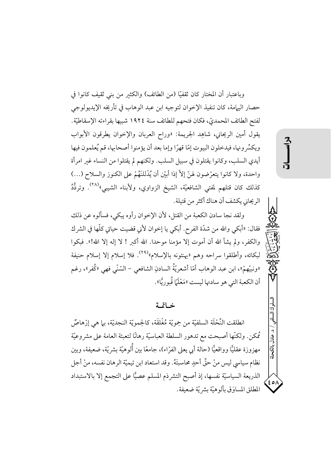وباعتبار أن المختار كان ثقفيًّا (من الطائف) والكثير من بني ثقيف كانوا في حصار اليهامة، كان تنفيذ الإخوان لتوجيه ابن عبد الوهاب في تأريخه الإيديولوجي لفتح الطائف المحمديّ، فكان فتحهم للطائف سنة ١٩٢٤ شبيها بقراءته الإسقاطيّة. يقول أمين الريحاني، شاهِد الجريمة: «وراح العربان والإخوان يطرقون الأبواب ويكسِّر ونها، فيدخلون البيوت إمَّا قهرًا وإما بعد أن يؤمنوا أصحابها، قم يُعلمون فيها أيدي السلب، وكانوا يقتلون في سبيل السلب. ولكنهم لم يقتلوا من النساء غبر امرأة واحدة، ولا كانوا يتعرَّضون لهنَّ إلاَّ إذا أَبَيْنِ أن يُدْللنَهُمْ على الكنوز والسلاح (…) كذلك كان قتلهم لمفتي الشافعيّة، الشيخ الزواوي، ولأبناء الشيبي»<sup>(٢٨)</sup>. وتردُّدُ الريحاني يكشف أن هناك أكثر من قتيلة.

ولقد نجا سادن الكعبة من القتل، لأن الإخوان رأوه يبكي، فسألوه عن ذلك فقال: «أبكي والله من شدّة الفرح. أبكي يا إخوان لأني قضيت حياتي كلّها في الشر ك والكفر، ولم يشأ الله أن أموت إلا مؤمنا موحدًا. الله أكبر ! لا إله إلا الله!». فبكوا لبكائه، وأطلقوا سراحه وهم «يهنئونه بالإسلام»<sup>(۲۹)</sup>. فلا إسلام إلا إسلام حنيفة «ونبيِّهمْ»، ابن عبد الوهاب أمّا أشعريّةُ السادنِ الشافعي – السّنّي فهي «كُفر»، رغم أن الكعبة التي هو سادنها ليست «مَعْلَمَا قُبوريًّا».

# خاتمة

انطلقت النِّحْلَة السلفيّة من حِمويّة مُغْلقَة، كالحِمويّة النجديّة، بما هي إرْهاصٌ مُمكن. ولكنَّها أصبحت مع تدهور السلطة العباسيَّة رهانًا لتعبئة العامة على مشروعيَّة مهزوزة عقليًّا وواقعيًّا (حالة أبي يعلى الفرّاء)، جامعًا بين أُلوهيّة بشريّة، ضعيفة، وبين نظام سياسي ليس منْ حقٌّ أحدٍ محاسبتَهُ. وقد استعاد ابن تيميّة الرهان نفسه، منْ أجل الذريعة السياسيّة نفسها، إذ أصبح التشرذم المسلم عصيًّا على التجمع إلا بالاستبداد المطلق المساوَق بألوهيّة بشريّة ضعيفة.

د. عادل بالكحلة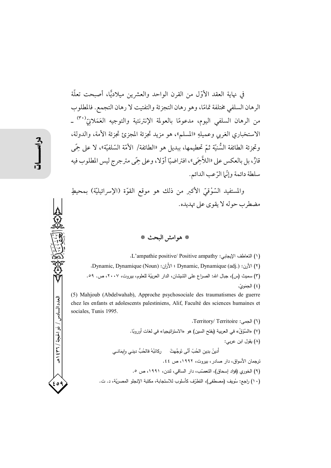في نهاية العقد الأوّل من القرن الواحد والعشرين مبلاديًّا، أصبحت تعلَّة الرهان السلفي مختلفة تمامًا، وهو رهان التجزئة والتفتيت لا رهان التجمع. فالمطلوب من الرهان السلفى اليوم، مدعومًا بالعولمة الإنترنتية والتوجيه العَمَلانِيٌّ -الاستخباري الغربي وعميلهِ «المسلم»، هو مزيد تجزئة المجزئ تجزئة الأمة، والدولة، وتجزئة الطائفة السُّنيّة ثمّ تحطيمها، ببديل هو «الطائفة/ الأمّة السّلفيّة»، لا على حِمَّى قارٍّ، بل بالعكس على «اللاَّحِمَى»، افتراضيًّا أوَّلا، وعلى حِمَّى مترجرج ليس المطلوب فيه سلطة دائمة وإنَّما الرَّعب الدائم.

والمستفيد السَّوْقيّ الأكبر من ذلك هو موقع القوّة (الإسرائيليّة) بمحيطٍ مضطرب جوله لا يقوى على تهديده.

### \* هوامش البحث \*

(١) التعاطف الإيجابي: L'ampathie positive/ Positive ampathy. (٢) الأرن: Dynamique (adj.) الأرن: Dynamic, Dynamic, 1 الأران: Dynamic, Dynamique (Noun). (٣) سميث (س)، جبال الله: الصراع على الشيشان، الدار العربيّة للعلوم، بيروت، ٢٠٠٧، ص. ٥٩. (٤) الجمَويّ.

(5) Mahjoub (Abdelwahab), Approche psychosociale des traumatismes de guerre chez les enfants et adolescents palestiniens, Alif, Faculté des sciences humaines et sociales, Tunis 1995.

(٦) الجمي: Territory/ Territoire. (٧) «السَّوْقُ» في العربية (بفتح السين) هو «الاستراتيجيا» في لغات أوروبًا. (٨) يقول ابن عربي: أَدينُ بدِين الحُبّ أنَّى تَوجَّهتْ ركائبُهُ فالحُبُّ دينـي وإيمَانــي ترجمان الأسواق، دار صادر ، بيروت، ١٩٩٢، ص ٤٤. (٩) الخوري (فؤاد إسحاق)، التعصَّب، دار الساقي، لندن، ١٩٩١، ص ٥. (١٠) راجع: سُويف (مصطفى)، التطرّف كأسلوب للاستجابة، مكتبة الإنجلو المصريّة، د. ت.

محتمد المعدد السادس / ذو الحجة / ١٤٣٦ هـ